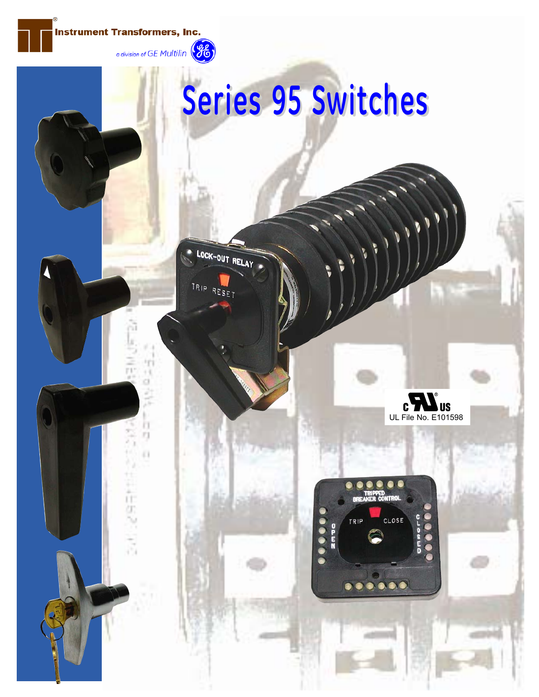

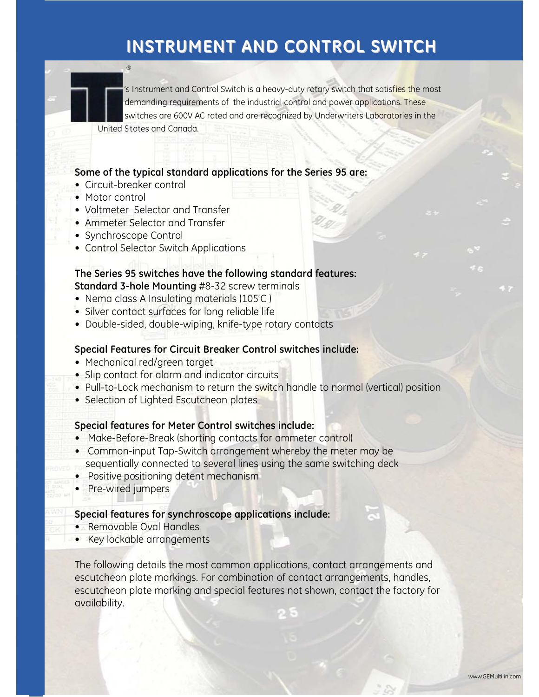's Instrument and Control Switch is a heavy-duty rotary switch that satisfies the most demanding requirements of the industrial control and power applications. These switches are 600V AC rated and are recognized by Underwriters Laboratories in the United States and Canada.

### **Some of the typical standard applications for the Series 95 are:**

• Circuit-breaker control

 $(\widehat{R})$ 

- Motor control
- Voltmeter Selector and Transfer
- Ammeter Selector and Transfer
- Synchroscope Control
- Control Selector Switch Applications

#### **The Series 95 switches have the following standard features: Standard 3-hole Mounting** #8-32 screw terminals

- $\bullet\,$  Nema class A Insulating materials (105°C )
- Silver contact surfaces for long reliable life
- Double-sided, double-wiping, knife-type rotary contacts

#### **Special Features for Circuit Breaker Control switches include:**

- Mechanical red/green target
- Slip contact for alarm and indicator circuits
- Pull-to-Lock mechanism to return the switch handle to normal (vertical) position
- Selection of Lighted Escutcheon plates

### **Special features for Meter Control switches include:**

- Make-Before-Break (shorting contacts for ammeter control)
- Common-input Tap-Switch arrangement whereby the meter may be sequentially connected to several lines using the same switching deck
- Positive positioning detent mechanism
- Pre-wired jumpers

#### **Special features for synchroscope applications include:**

- Removable Oval Handles
- Key lockable arrangements

The following details the most common applications, contact arrangements and escutcheon plate markings. For combination of contact arrangements, handles, escutcheon plate marking and special features not shown, contact the factory for availability.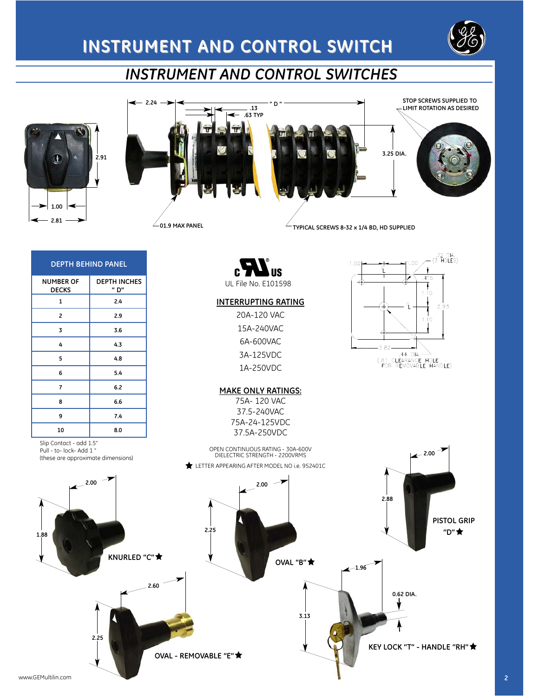





1.00

| <b>DEPTH BEHIND PANEL</b>        |                             |  |  |  |  |  |
|----------------------------------|-----------------------------|--|--|--|--|--|
| <b>NUMBER OF</b><br><b>DECKS</b> | <b>DEPTH INCHES</b><br>" D" |  |  |  |  |  |
| 1                                | 2.4                         |  |  |  |  |  |
| 2                                | 2.9                         |  |  |  |  |  |
| 3                                | 3.6                         |  |  |  |  |  |
| 4                                | 4.3                         |  |  |  |  |  |
| 5                                | 4.8                         |  |  |  |  |  |
| 6                                | 5.4                         |  |  |  |  |  |
| 7                                | 6.2                         |  |  |  |  |  |
| 8                                | 6.6                         |  |  |  |  |  |
| 9                                | 7.4                         |  |  |  |  |  |
| 10                               | 8.0                         |  |  |  |  |  |

Slip Contact - add 1.5" Pull - to- lock- Add 1 " (these are approximate dimensions)



#### **INTERRUPTING RATING**

20A-120 VAC 15A-240VAC 6A-600VAC 3A-125VDC 1A-250VDC



.22 DIA.<br>(3 HOLES)

 $2.93$ 

 $1.00$ 

E

 $7.32$ <br> $.44$  DIA.  $\rightarrow$ <br>(.81 CLEARANCE HOLE<br>FOR REMOVABLE HANDLE)

 $-2.82$ 

415  $1.10$ 

 $110$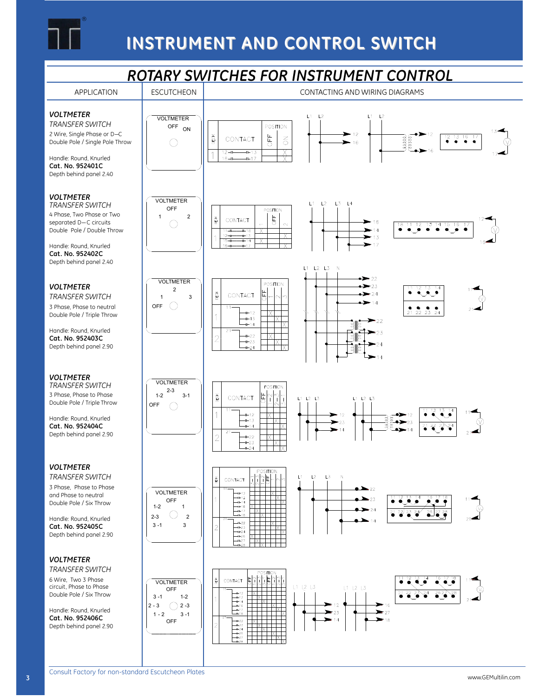

#### *ROTARY SWITCHES FOR INSTRUMENT CONTROL* ESCUTCHEON GENERAL CONTACTING AND WIRING DIAGRAMS APPLICATION *VOLTMETER*  $\overline{11}$  $\overline{12}$  $L1$   $L2$ VOLTMETER *TRANSFER SWITCH* POSITION OFF ON 2 Wire, Single Phase or D—C  $\blacktriangleright$  12  $\sigma$  $\frac{12}{9}$   $\frac{13}{9}$   $\frac{16}{9}$ laaan<br>Laaac **DECK** CONTACT  $\lesssim$ Double Pole / Single Pole Throw  $\bigcirc$  $16$  $12 + \rightarrow +13$  $\mathbf 1$ Handle: Round, Knurled  $16 - H$  $+$  $+$ 17 **Cat. No. 952401C** Depth behind panel 2.40 *VOLTMETER* VOLTMETER  $1.3 + 4$ *TRANSFER SWITCH*  $1112$ OFF POSITION 4 Phase, Two Phase or Two  $\bigcirc$ <sup>2</sup> **bFF** DECK CONTACT separated D—C circuits  $18$ 18 11 12 13 14 15 16  $\sim$ Double Pole / Double Throw  $11 \overline{\mathbf{x}}$  $13$ 12-11<br>15-11  $\mathbf{1}$ Handle: Round, Knurled  $16 17$ **Cat. No. 952402C** Depth behind panel 2.40  $L1$   $L2$   $L3$  N  $-22$ VOLTMETER POSITION *VOLTMETER*  $\rightarrow$  23  $\frac{12}{13}$   $\frac{13}{14}$ 2 DECK CONTACT  $\rightarrow$  24 占 *TRANSFER SWITCH* 1 3 Ŵ,  $\geq 14$  $\bigcirc$ 3 Phase, Phase to neutral OFF  $11$  $21$   $22$   $23$   $24$  $+12$ Double Pole / Triple Throw  $\mathbf{1}$  $+13$  $\blacktriangleright$  22 ત્રે∥દે  $+14$ Handle: Round, Knurled  $21$  $-23$ बे∥ई  $+22$ **Cat. No. 952403C**  $\overline{2}$  $+23$  $-24$ Depth behind panel 2.90 雛  $-24$ *VOLTMETER* VOLTMETER *TRANSFER SWITCH* POSITION  $2-3$  3-1  $\frac{\frac{1}{2} \left| \frac{1}{2} \right|}{\frac{1}{2} \left| \frac{1}{2} \right|}$ 3 Phase, Phase to Phase DECK CONTACT  $L1$   $L2$   $L3$  $L1$   $L2$   $L3$ Double Pole / Triple Throw OFF  $\bigcirc$  $\frac{1}{2}$  $\overline{1}$  $+12$  $12$ Handle: Round, Knurled  $-1$   $-13$ TX ➤  $-23$ **Cat. No. 952404C**  $H = 14$  $\overline{2}$ Depth behind panel 2.90  $\overline{2}$  $+22$ TXT  $+23$  $+24$ *VOLTMETER* POSITION *TRANSFER SWITCH*  $\frac{1}{2}$ L1  $L<sub>2</sub>$  $L3$ N DECK CONTACT ∤¦∽ 3 Phase, Phase to Phase  $\sum_{22}$ VOLTMETER ++12<br>++13<br>++14<br>++16<br>++17  $\frac{1}{\sqrt{2}}$ and Phase to neutral OFF  $-23$ Double Pole / Six Throw  $1-2$  1  $-24$  $2324$  $\overline{\mathbf{a}^2}$  $212$ 2-3  $\bigcirc$  2 Handle: Round, Knurled  $\pm$   $\times$ ++22<br>++23<br>++24<br>++26<br>++27 ††† xl  $3 - 1$  3 **Cat. No. 952405C**  $\overline{2}$ Depth behind panel 2.90 *VOLTMETER TRANSFER SWITCH* POSITION 6 Wire, Two 3 Phase 이 가능<br>시설 - 이 기 DECK CONTACT VOLTMETER circuit, Phase to Phase  $L1$   $L2$   $L3$  $L1$   $L2$   $L3$ OFF  $\sqrt{21}$   $\sqrt{22}$   $\sqrt{23}$   $\sqrt{24}$ Double Pole / Six Throw  $3 - 1$  1-2 13 1⊢14<br>1⊢16 2 - 3  $\bigcirc$  2 - 3 Handle: Round, Knurled  $\Box_{\Box}$ 23  $\blacktriangleright$  27  $1 - 2$   $3 - 1$ **Cat. No. 952406C** OFF —⊢22<br>—⊢23<br>—⊢24<br>—⊢26 2 Depth behind panel 2.90 9510E - 8V33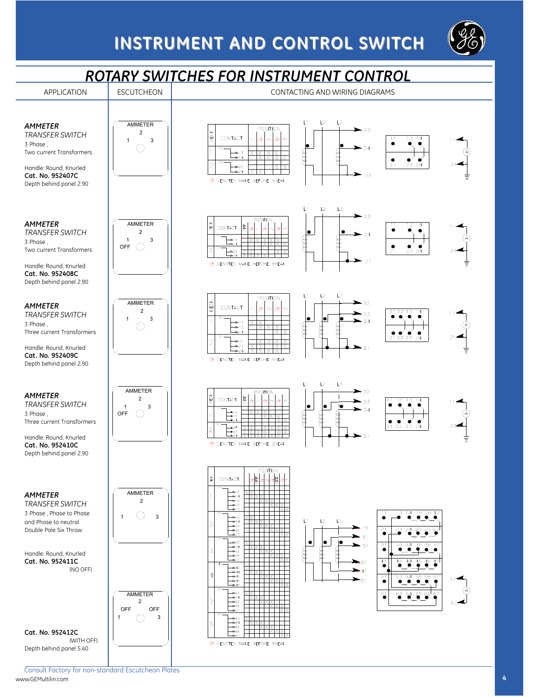

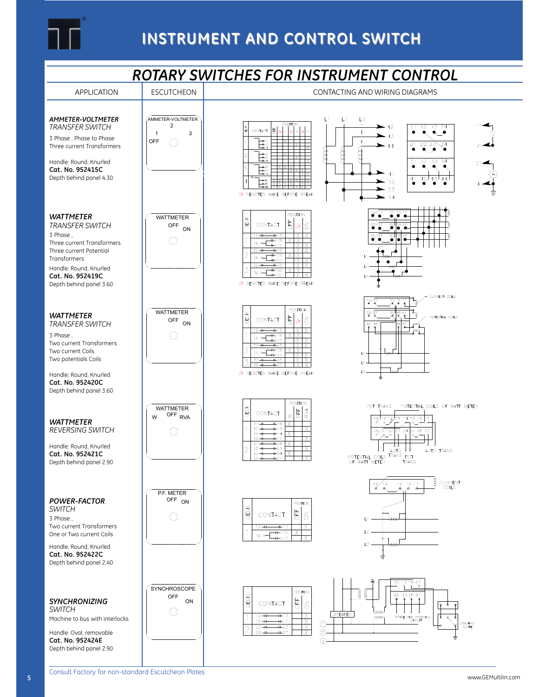

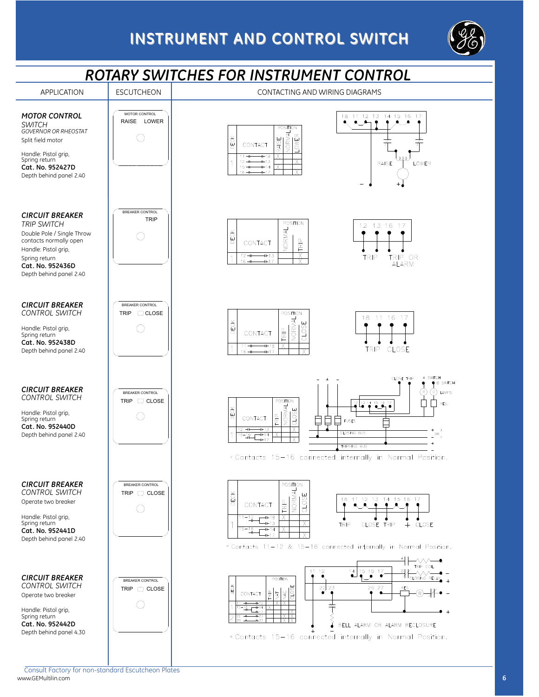

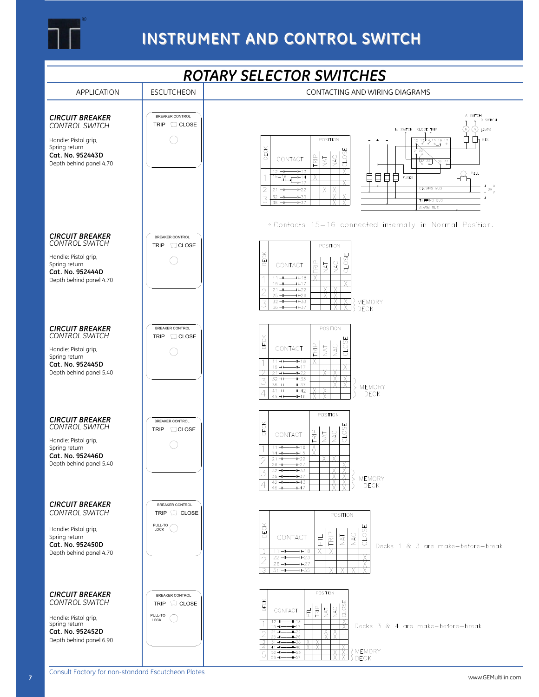

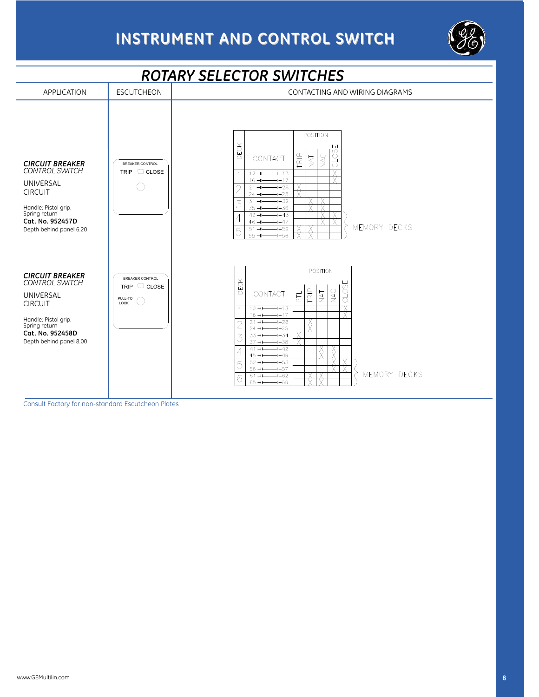



Consult Factory for non-standard Escutcheon Plates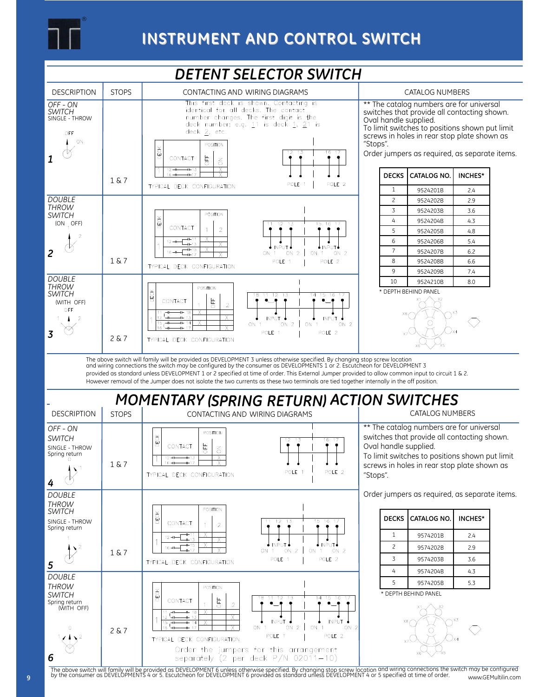



### \* DEPTH BEHIND PANEL



*SWITCH* Spring return (WITH OFF)

2 & 7

CONTACT

 $\overline{1}$ 

동

X

 $\overline{\mathsf{x}}$ 

TYPICAL DECK CONFIGURATION

 $\overline{\mathcal{L}}$ 

*6*

The above switch will family will be provided as DEVELOPMENT 6 unless otherwise specified. By changing stop screw location and wiring connections the switch may be configured<br>by the consumer as DEVELOPMENTS 4 or 5. Escutch www.GEMultilin.com

 $\overline{12}$  $\overline{11}$ 

**INPUT** 

POLE 1

ON

Order the jumpers for this arrangement separately  $(2 \text{ per deck } P/N 02011-10)$ 

 $\overline{13}$ 

 $ON<sub>2</sub>$ 

 $ON$  $\overline{1}$   $15$ 16

 $\bullet$ 

**INPUT**  $ON<sub>2</sub>$ 

POLE<sub>2</sub>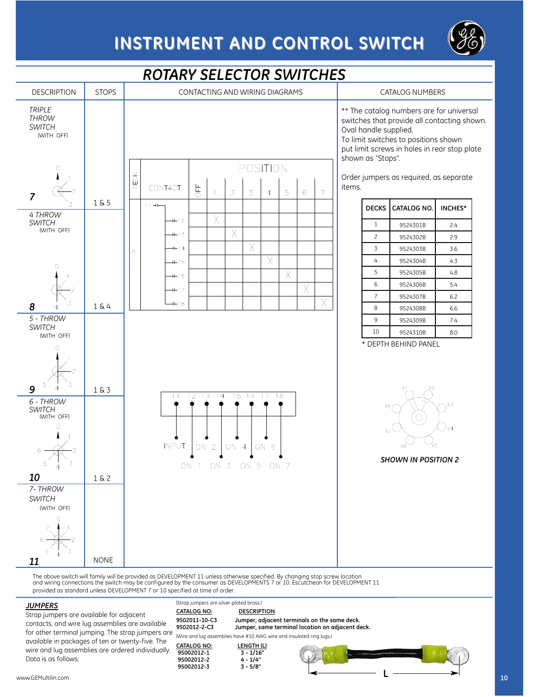



### *ROTARY SELECTOR SWITCHES*

The above switch will family will be provided as DEVELOPMENT 11 unless otherwise specified. By changing stop screw location<br>and wiring connections the switch may be configured by the consumer as DEVELOPMENTS 7 or 10. Escut provided as standard unless DEVELOPMENT 7 or 10 specified at time of order

#### *JUMPERS*

Strap jumpers are available for adjacent contacts, and wire lug assemblies are available for other terminal jumping. The strap jumpers are available in packages of ten or twenty-five. The wire and lug assemblies are ordered individually. Data is as follows:

|                                          | becined at time of order.                                            |                                         |                                                                                                  |    |  |  |
|------------------------------------------|----------------------------------------------------------------------|-----------------------------------------|--------------------------------------------------------------------------------------------------|----|--|--|
| (Strap jumpers are silver-plated brass.) |                                                                      |                                         |                                                                                                  |    |  |  |
|                                          | <b>CATALOG NO:</b>                                                   | <b>DESCRIPTION</b>                      |                                                                                                  |    |  |  |
|                                          | 9502011-10-C3<br>9502012-2-C3                                        |                                         | Jumper, adjacent terminals on the same deck.<br>Jumper, same terminal location on adjacent deck. |    |  |  |
|                                          | (Wire and lug assemblies have #10 AWG wire and insulated ring lugs.) |                                         |                                                                                                  |    |  |  |
|                                          | <b>CATALOG NO:</b><br>95002012-1<br>95002012-2                       | LENGTH (L)<br>$3 - 1/16"$<br>$4 - 1/4"$ |                                                                                                  |    |  |  |
|                                          | 95002012-3                                                           | $3 - 5/8"$                              |                                                                                                  | 10 |  |  |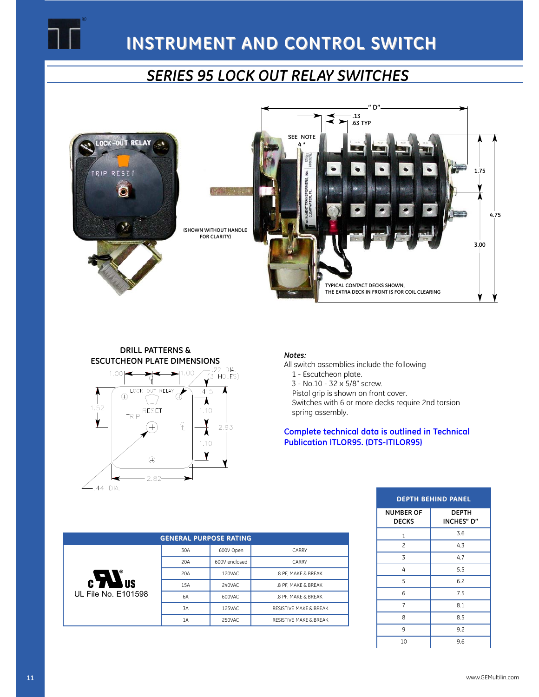

### *SERIES 95 LOCK OUT RELAY SWITCHES*



### **DRILL PATTERNS & ESCUTCHEON PLATE DIMENSIONS**<br>1.00  $\leftarrow$   $\leftarrow$   $\leftarrow$   $\leftarrow$   $\leftarrow$   $\leftarrow$   $\leftarrow$   $\leftarrow$   $\leftarrow$   $\leftarrow$   $\leftarrow$   $\leftarrow$   $\leftarrow$   $\leftarrow$   $\leftarrow$   $\leftarrow$   $\leftarrow$   $\leftarrow$   $\leftarrow$   $\leftarrow$   $\leftarrow$   $\leftarrow$   $\leftarrow$   $\leftarrow$   $\leftarrow$   $\leftarrow$   $\leftarrow$   $\leftarrow$   $\leftarrow$   $\leftarrow$   $\leftarrow$   $1.00 -$



#### *Notes:*

All switch assemblies include the following

1 - Escutcheon plate.

2. 3 - No.10 - 32 x 5/8" screw.

Pistol grip is shown on front cover.

Switches with 6 or more decks require 2nd torsion spring assembly.

**Complete technical data is outlined in Technical Publication ITLOR95. (DTS-ITILOR95)**

| <b>DEPTH BEHIND PANEL</b>        |                     |  |  |  |  |
|----------------------------------|---------------------|--|--|--|--|
| <b>NUMBER OF</b><br><b>DECKS</b> | DEPTH<br>INCHES" D" |  |  |  |  |
| 1                                | 3.6                 |  |  |  |  |
| $\overline{c}$                   | 4.3                 |  |  |  |  |
| 3                                | 4.7                 |  |  |  |  |
| 4                                | 5.5                 |  |  |  |  |
| 5                                | 6.2                 |  |  |  |  |
| 6                                | 7.5                 |  |  |  |  |
| $\overline{7}$                   | 8.1                 |  |  |  |  |
| 8                                | 8.5                 |  |  |  |  |
| 9                                | 9.2                 |  |  |  |  |
| 10                               | 9.6                 |  |  |  |  |

| <b>GENERAL PURPOSE RATING</b> |     |               |                                   |  |  |  |  |
|-------------------------------|-----|---------------|-----------------------------------|--|--|--|--|
|                               | 30A | 600V Open     | CARRY                             |  |  |  |  |
|                               | 20A | 600V enclosed | CARRY                             |  |  |  |  |
| J                             | 20A | 120VAC        | .8 PF. MAKE & BREAK               |  |  |  |  |
| <b>CYN</b><br><b>IUS</b>      | 15A | 240VAC        | .8 PF. MAKE & BREAK               |  |  |  |  |
| UL File No. E101598           | 6A  | 600VAC        | .8 PF. MAKE & BREAK               |  |  |  |  |
|                               | 3A  | 125VAC        | <b>RESISTIVE MAKE &amp; BREAK</b> |  |  |  |  |
|                               | 1A  | 250VAC        | <b>RESISTIVE MAKE &amp; BREAK</b> |  |  |  |  |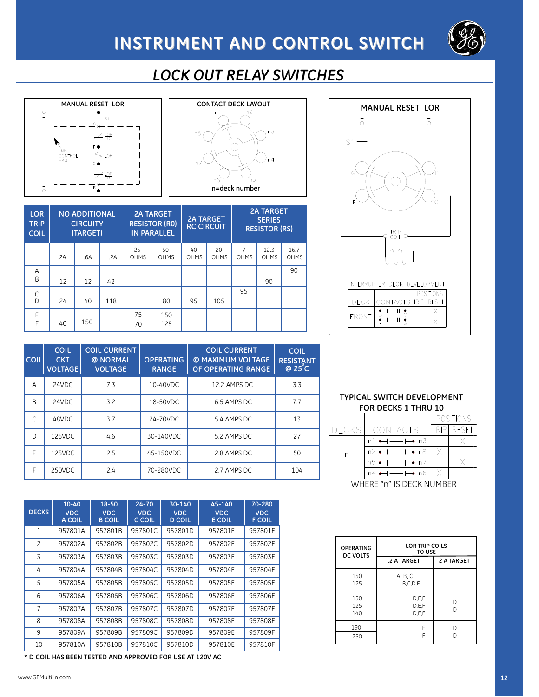

## *LOCK OUT RELAY SWITCHES*







| <b>LOR</b><br><b>TRIP</b><br><b>COIL</b> |     | <b>NO ADDITIONAL</b><br><b>CIRCUITY</b><br>(TARGET) |     |                   | <b>2A TARGET</b><br><b>RESISTOR (RO)</b><br><b>IN PARALLEL</b> |                   | <b>2A TARGET</b><br><b>RC CIRCUIT</b> |                  | <b>2A TARGET</b><br><b>SERIES</b><br><b>RESISTOR (RS)</b> |              |
|------------------------------------------|-----|-----------------------------------------------------|-----|-------------------|----------------------------------------------------------------|-------------------|---------------------------------------|------------------|-----------------------------------------------------------|--------------|
|                                          | .2A | .6A                                                 | .2A | 25<br><b>OHMS</b> | 50<br><b>OHMS</b>                                              | 40<br><b>OHMS</b> | 20<br><b>OHMS</b>                     | 7<br><b>OHMS</b> | 12.3<br><b>OHMS</b>                                       | 16.7<br>OHMS |
| A<br>B                                   | 12  | 12                                                  | 42  |                   |                                                                |                   |                                       |                  | 90                                                        | 90           |
| $\overline{C}$                           | 24  | 40                                                  | 118 |                   | 80                                                             | 95                | 105                                   | 95               |                                                           |              |
| E<br>F                                   | 40  | 150                                                 |     | 75<br>70          | 150<br>125                                                     |                   |                                       |                  |                                                           |              |

| <b>COIL</b> | <b>COIL</b><br><b>CKT</b><br><b>VOLTAGE</b> | <b>COIL CURRENT</b><br>@ NORMAL<br><b>VOLTAGE</b> | <b>OPERATING</b><br><b>RANGE</b> | <b>COIL CURRENT</b><br>@ MAXIMUM VOLTAGE<br>OF OPERATING RANGE | <b>COIL</b><br><b>RESISTANT</b><br>$@25$ <sup><math>C</math></sup> |
|-------------|---------------------------------------------|---------------------------------------------------|----------------------------------|----------------------------------------------------------------|--------------------------------------------------------------------|
| A           | 24VDC                                       | 7.3                                               | 10-40VDC                         | 12.2 AMPS DC                                                   | 3.3                                                                |
| B           | 24VDC                                       | 3.2                                               | 18-50VDC                         | 6.5 AMPS DC                                                    | 7.7                                                                |
| C           | 48VDC                                       | 3.7                                               | 24-70VDC                         | 5.4 AMPS DC                                                    | 13                                                                 |
| D           | 125VDC                                      | 4.6                                               | 30-140VDC                        | 5.2 AMPS DC                                                    | 27                                                                 |
| E           | 125VDC                                      | 2.5                                               | 45-150VDC                        | 2.8 AMPS DC                                                    | 50                                                                 |
| F           | 250VDC                                      | 2.4                                               | 70-280VDC                        | 2.7 AMPS DC                                                    | 104                                                                |

| <b>DECKS</b>   | $10 - 40$<br><b>VDC</b><br>A COIL | 18-50<br><b>VDC</b><br><b>B COIL</b> | $24 - 70$<br><b>VDC</b><br>C COIL | 30-140<br><b>VDC</b><br><b>D COIL</b> | 45-140<br><b>VDC</b><br><b>E COIL</b> | 70-280<br><b>VDC</b><br><b>F COIL</b> |
|----------------|-----------------------------------|--------------------------------------|-----------------------------------|---------------------------------------|---------------------------------------|---------------------------------------|
| 1              | 957801A                           | 957801B                              | 957801C                           | 957801D                               | 957801E                               | 957801F                               |
| $\overline{c}$ | 957802A                           | 957802B                              | 957802C                           | 957802D                               | 957802E                               | 957802F                               |
| 3              | 957803A                           | 957803B                              | 957803C                           | 957803D                               | 957803E                               | 957803F                               |
| 4              | 957804A                           | 957804B                              | 957804C                           | 957804D                               | 957804E                               | 957804F                               |
| 5              | 957805A                           | 957805B                              | 957805C                           | 957805D                               | 957805E                               | 957805F                               |
| 6              | 957806A                           | 957806B                              | 957806C                           | 957806D                               | 957806E                               | 957806F                               |
| 7              | 957807A                           | 957807B                              | 957807C                           | 957807D                               | 957807E                               | 957807F                               |
| 8              | 957808A                           | 957808B                              | 957808C                           | 957808D                               | 957808E                               | 957808F                               |
| 9              | 957809A                           | 957809B                              | 957809C                           | 957809D                               | 957809E                               | 957809F                               |
| 10             | 957810A                           | 957810B                              | 957810C                           | 957810D                               | 957810E                               | 957810F                               |

**\* D COIL HAS BEEN TESTED AND APPROVED FOR USE AT 120V AC**

#### **TYPICAL SWITCH DEVELOPMENT FOR DECKS 1 THRU 10**

 $\mathsf X$ 

|                            |                                           |  | <b>POSITIONS</b>   |  |  |  |
|----------------------------|-------------------------------------------|--|--------------------|--|--|--|
| DECKSI                     | CONTACTS                                  |  | <b>TRIPL RESET</b> |  |  |  |
|                            | n1 <del>• + + + +</del> + n3              |  |                    |  |  |  |
| n                          | $n2 \rightarrow + +$ n8                   |  |                    |  |  |  |
|                            | $n5$ $\longrightarrow$ $\longmapsto$ n7   |  |                    |  |  |  |
|                            | $n4 \leftrightarrow + \leftrightarrow n6$ |  |                    |  |  |  |
| WHEBE "n" IS DECK MI IMBER |                                           |  |                    |  |  |  |

WHERE "n" IS DECK NUMBER

| <b>OPERATING</b><br>DC VOLTS | LOR TRIP COILS<br><b>TO USE</b> |            |
|------------------------------|---------------------------------|------------|
|                              | .2 A TARGET                     | 2 A TARGET |
| 150<br>125                   | A, B, C<br>B,C,D,E              |            |
| 150<br>125<br>140            | D.E.F<br>D.E.F<br>D.E.F         | D<br>D     |
| 190<br>250                   | F<br>F                          | D          |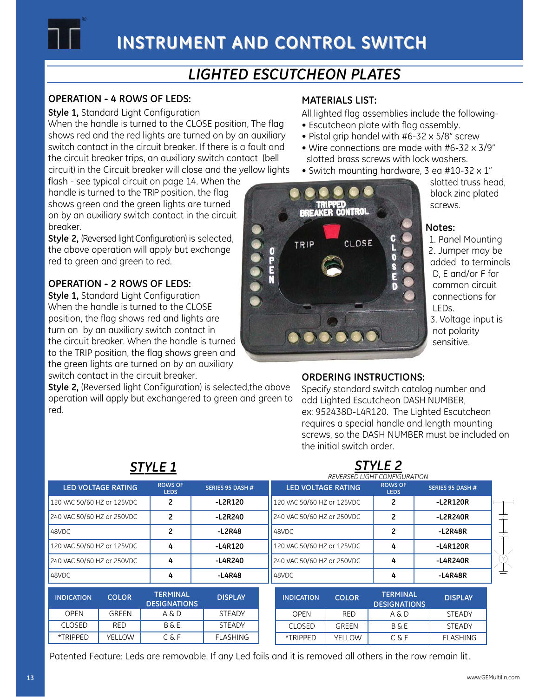

### *LIGHTED ESCUTCHEON PLATES*

### **OPERATION - 4 ROWS OF LEDS:**

®

**Style 1,** Standard Light Configuration

When the handle is turned to the CLOSE position, The flag shows red and the red lights are turned on by an auxiliary switch contact in the circuit breaker. If there is a fault and the circuit breaker trips, an auxiliary switch contact (bell circuit) in the Circuit breaker will close and the yellow lights

flash - see typical circuit on page 14. When the handle is turned to the TRIP position, the flag shows green and the green lights are turned on by an auxiliary switch contact in the circuit breaker.

**Style 2,** (Reversed light Configuration) is selected, the above operation will apply but exchange red to green and green to red.

### **OPERATION - 2 ROWS OF LEDS:**

**Style 1,** Standard Light Configuration When the handle is turned to the CLOSE position, the flag shows red and lights are turn on by an auxiliary switch contact in the circuit breaker. When the handle is turned to the TRIP position, the flag shows green and the green lights are turned on by an auxiliary switch contact in the circuit breaker.

**Style 2,** (Reversed light Configuration) is selected,the above operation will apply but exchangered to green and green to red.

### **MATERIALS LIST:**

- All lighted flag assemblies include the following-
- Escutcheon plate with flag assembly.
- Pistol grip handel with #6-32 x 5/8" screw
- Wire connections are made with #6-32 x 3/9" slotted brass screws with lock washers.
- Switch mounting hardware, 3 ea #10-32 x 1"



slotted truss head, black zinc plated screws.

### **Notes:**

1. Panel Mounting 2. Jumper may be added to terminals D, E and/or F for common circuit connections for LEDs. 3. Voltage input is not polarity sensitive.

### **ORDERING INSTRUCTIONS:**

*STYLE 2*

Specify standard switch catalog number and add Lighted Escutcheon DASH NUMBER, ex: 952438D-L4R120. The Lighted Escutcheon requires a special handle and length mounting screws, so the DASH NUMBER must be included on the initial switch order.

|                            | <b>STYLE 1</b>            |                                        |                         |  |                            |               | STYLE <sub>2</sub><br>REVERSED LIGHT CONFIGURATION |                  |  |
|----------------------------|---------------------------|----------------------------------------|-------------------------|--|----------------------------|---------------|----------------------------------------------------|------------------|--|
|                            | <b>LED VOLTAGE RATING</b> | <b>ROWS OF</b><br><b>LEDS</b>          | <b>SERIES 95 DASH #</b> |  | <b>LED VOLTAGE RATING</b>  |               | <b>ROWS OF</b><br><b>LEDS</b>                      | SERIES 95 DASH # |  |
| 120 VAC 50/60 HZ or 125VDC |                           | 2                                      | $-L2R120$               |  | 120 VAC 50/60 HZ or 125VDC |               | 2                                                  | -L2R120R         |  |
| 240 VAC 50/60 HZ or 250VDC |                           | $\overline{2}$                         | -L2R240                 |  | 240 VAC 50/60 HZ or 250VDC |               | 2                                                  | -L2R240R         |  |
| 48VDC                      |                           | $\overline{c}$                         | -L2R48                  |  | 48VDC                      |               | 2                                                  | -L2R48R          |  |
| 120 VAC 50/60 HZ or 125VDC |                           | 4                                      | -L4R120                 |  | 120 VAC 50/60 HZ or 125VDC |               | 4                                                  | -L4R120R         |  |
| 240 VAC 50/60 HZ or 250VDC |                           | 4                                      | -L4R240                 |  | 240 VAC 50/60 HZ or 250VDC |               | 4                                                  | -L4R240R         |  |
| 48VDC                      |                           | 4                                      | -L4R48                  |  | 48VDC                      |               | 4                                                  | -L4R48R          |  |
| <b>INDICATION</b>          | <b>COLOR</b>              | <b>TERMINAL</b><br><b>DESIGNATIONS</b> | <b>DISPLAY</b>          |  | <b>INDICATION</b>          | <b>COLOR</b>  | <b>TERMINAL</b><br><b>DESIGNATIONS</b>             | <b>DISPLAY</b>   |  |
| <b>OPEN</b>                | GREEN                     | A & D                                  | <b>STEADY</b>           |  | <b>OPEN</b>                | <b>RED</b>    | A & D                                              | <b>STEADY</b>    |  |
| <b>CLOSED</b>              | <b>RED</b>                | <b>B&amp;E</b>                         | <b>STEADY</b>           |  | <b>CLOSED</b>              | <b>GREEN</b>  | <b>B&amp;E</b>                                     | <b>STEADY</b>    |  |
| *TRIPPED                   | <b>YELLOW</b>             | C&F                                    | <b>FLASHING</b>         |  | *TRIPPED                   | <b>YELLOW</b> | C&F                                                | <b>FLASHING</b>  |  |

Patented Feature: Leds are removable. If any Led fails and it is removed all others in the row remain lit.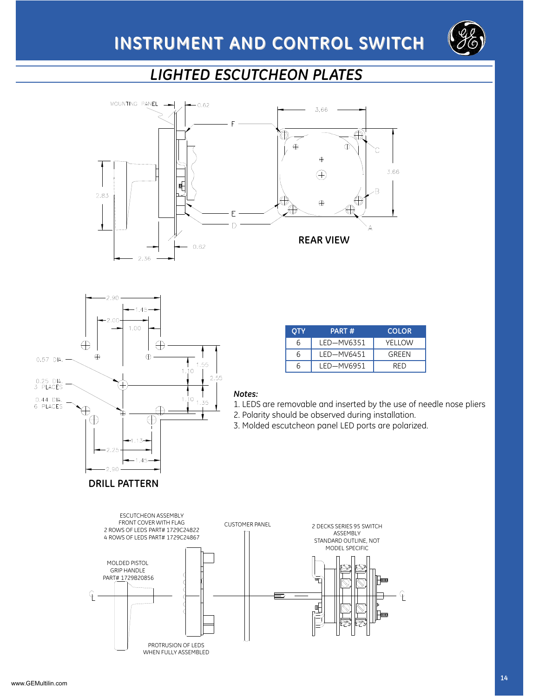

### *LIGHTED ESCUTCHEON PLATES*





|   | PART#      | <b>COLOR</b> |
|---|------------|--------------|
| 6 | LED-MV6351 | YFI I OW     |
| h | LED-MV6451 | GRFFN        |
| h | LED-MV6951 | RFD          |
|   |            |              |

#### *Notes:*

1. LEDS are removable and inserted by the use of needle nose pliers 2. Polarity should be observed during installation.

3. Molded escutcheon panel LED ports are polarized.